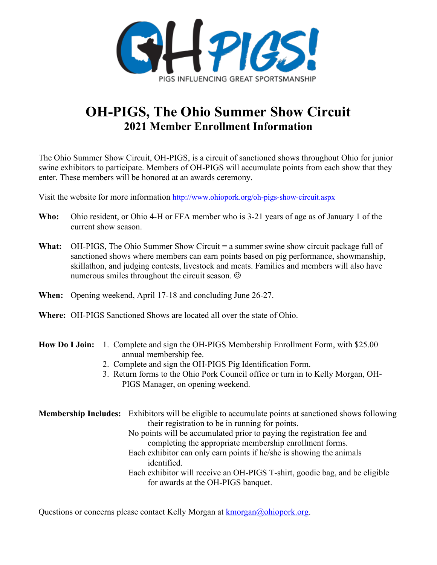

## **OH-PIGS, The Ohio Summer Show Circuit 2021 Member Enrollment Information**

The Ohio Summer Show Circuit, OH-PIGS, is a circuit of sanctioned shows throughout Ohio for junior swine exhibitors to participate. Members of OH-PIGS will accumulate points from each show that they enter. These members will be honored at an awards ceremony.

Visit the website for more information<http://www.ohiopork.org/oh-pigs-show-circuit.aspx>

- **Who:** Ohio resident, or Ohio 4-H or FFA member who is 3-21 years of age as of January 1 of the current show season.
- **What:** OH-PIGS, The Ohio Summer Show Circuit = a summer swine show circuit package full of sanctioned shows where members can earn points based on pig performance, showmanship, skillathon, and judging contests, livestock and meats. Families and members will also have numerous smiles throughout the circuit season.
- **When:** Opening weekend, April 17-18 and concluding June 26-27.
- **Where:** OH-PIGS Sanctioned Shows are located all over the state of Ohio.

### **How Do I Join:** 1. Complete and sign the OH-PIGS Membership Enrollment Form, with \$25.00 annual membership fee.

- 2. Complete and sign the OH-PIGS Pig Identification Form.
- 3. Return forms to the Ohio Pork Council office or turn in to Kelly Morgan, OH-PIGS Manager, on opening weekend.

**Membership Includes:** Exhibitors will be eligible to accumulate points at sanctioned shows following their registration to be in running for points. No points will be accumulated prior to paying the registration fee and completing the appropriate membership enrollment forms. Each exhibitor can only earn points if he/she is showing the animals identified. Each exhibitor will receive an OH-PIGS T-shirt, goodie bag, and be eligible for awards at the OH-PIGS banquet.

Questions or concerns please contact Kelly Morgan at [kmorgan@ohiopork.org.](mailto:kmorgan@ohiopork.org)